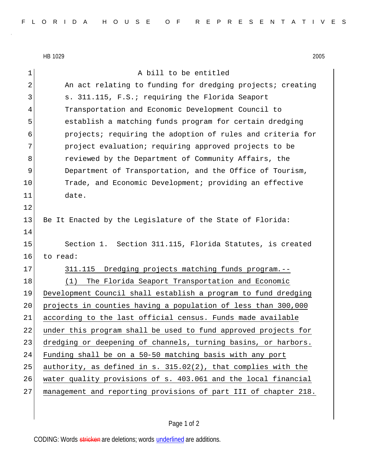HB 1029 2005

1 A bill to be entitled 2 An act relating to funding for dredging projects; creating 3 S. 311.115, F.S.; requiring the Florida Seaport 4 Transportation and Economic Development Council to 5 establish a matching funds program for certain dredging 6 projects; requiring the adoption of rules and criteria for 7 project evaluation; requiring approved projects to be 8 8 reviewed by the Department of Community Affairs, the 9 Department of Transportation, and the Office of Tourism, 10 Trade, and Economic Development; providing an effective 11 date. 12 13 Be It Enacted by the Legislature of the State of Florida: 14 15 Section 1. Section 311.115, Florida Statutes, is created 16 to read: 17 311.115 Dredging projects matching funds program.--18 (1) The Florida Seaport Transportation and Economic 19 Development Council shall establish a program to fund dredging 20 projects in counties having a population of less than 300,000 21 according to the last official census. Funds made available 22 under this program shall be used to fund approved projects for 23 dredging or deepening of channels, turning basins, or harbors. 24 Funding shall be on a 50-50 matching basis with any port 25 authority, as defined in s.  $315.02(2)$ , that complies with the 26 water quality provisions of s. 403.061 and the local financial 27 management and reporting provisions of part III of chapter 218.

Page 1 of 2

CODING: Words stricken are deletions; words underlined are additions.